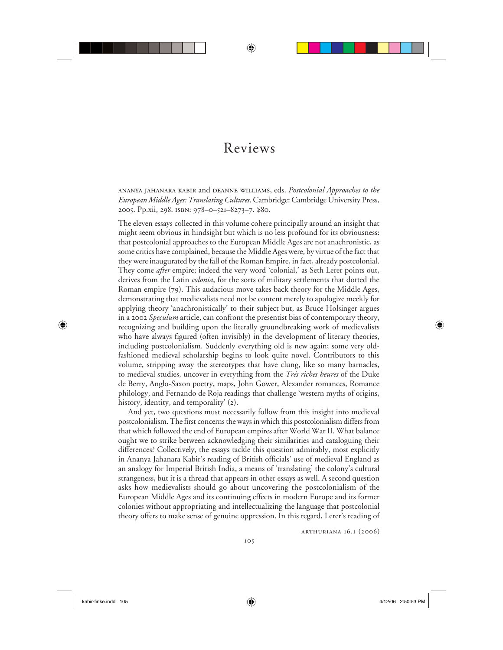## Reviews

⊕

ananya jahanara kabir and deanne williams, eds. *Postcolonial Approaches to the European Middle Ages: Translating Cultures*. Cambridge: Cambridge University Press, 2005. Pp.xii, 298. isbn: 978–0–521–8273–7. \$80.

The eleven essays collected in this volume cohere principally around an insight that might seem obvious in hindsight but which is no less profound for its obviousness: that postcolonial approaches to the European Middle Ages are not anachronistic, as some critics have complained, because the Middle Ages were, by virtue of the fact that they were inaugurated by the fall of the Roman Empire, in fact, already postcolonial. They come *after* empire; indeed the very word 'colonial,' as Seth Lerer points out, derives from the Latin *colonia*, for the sorts of military settlements that dotted the Roman empire (79). This audacious move takes back theory for the Middle Ages, demonstrating that medievalists need not be content merely to apologize meekly for applying theory 'anachronistically' to their subject but, as Bruce Holsinger argues in a 2002 *Speculum* article, can confront the presentist bias of contemporary theory, recognizing and building upon the literally groundbreaking work of medievalists who have always figured (often invisibly) in the development of literary theories, including postcolonialism. Suddenly everything old is new again; some very oldfashioned medieval scholarship begins to look quite novel. Contributors to this volume, stripping away the stereotypes that have clung, like so many barnacles, to medieval studies, uncover in everything from the *Trés riches heures* of the Duke de Berry, Anglo-Saxon poetry, maps, John Gower, Alexander romances, Romance philology, and Fernando de Roja readings that challenge 'western myths of origins, history, identity, and temporality' (2).

And yet, two questions must necessarily follow from this insight into medieval postcolonialism. The first concerns the ways in which this postcolonialism differs from that which followed the end of European empires after World War II. What balance ought we to strike between acknowledging their similarities and cataloguing their differences? Collectively, the essays tackle this question admirably, most explicitly in Ananya Jahanara Kabir's reading of British officials' use of medieval England as an analogy for Imperial British India, a means of 'translating' the colony's cultural strangeness, but it is a thread that appears in other essays as well. A second question asks how medievalists should go about uncovering the postcolonialism of the European Middle Ages and its continuing effects in modern Europe and its former colonies without appropriating and intellectualizing the language that postcolonial theory offers to make sense of genuine oppression. In this regard, Lerer's reading of

arthuriana 16.1 (2006)

 $\bigoplus$ 

⊕